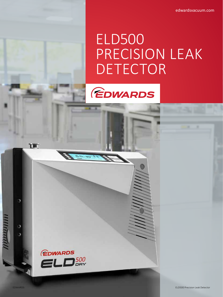# ELD500 PRECISION LEAK DETECTOR





EDWARDS ELD500 Precision Leak Detector

 $\overline{\mathbf{O}}$ 

 $\circ$ ö

**UIT**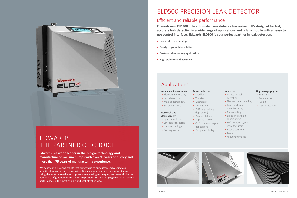

## EDWARDS THE PARTNER OF CHOICE

#### **Edwards is a world leader in the design, technology and manufacture of vacuum pumps with over 95 years of history and more than 75 years of manufacturing experience.**

We believe in delivering results that bring value to our customers by using our breadth of industry experience to identify and apply solutions to your problems. Using the most innovative and up-to-date modeling techniques, we can optimise the pumping configuration for customers to provide a system design giving the maximum performance in the most reliable and cost-effective way.

- Electron microscopy
- Leak detection
- Mass spectrometry
- Surface analysis

- Space simulation
- Cryogenic research
- Nanotechnology
- Coating systems

## ELD500 PRECISION LEAK DETECTOR

- **Semiconductor**
- Load lock
- Transfer
- Metrology
- Lithography
- PVD (physical vapour deposition)
- Plasma etching
- Implant source
- CVD (chemical vapour deposition)
- Flat panel display
- $\bullet$  LED



### Efficient and reliable performance

**Edwards new ELD500 fully automated leak detector has arrived. It's designed for fast, accurate leak detection in a wide range of applications and is fully mobile with an easy to use control interface. Edwards ELD500 is your perfect partner in leak detection.**

- **• Low cost of ownership**
- **• Ready to go mobile solution**
- **• Customisable for any application**
- **• High stability and accuracy**

#### **Analytical Instruments**

#### **Research and development**

#### **Industrial**

- Industrial leak detection
- Electron beam welding
- Lamp and tube manufacturing
- Glass coating
- Brake line and air conditioning
- Refrigeration system manufacturers
- Heat treatment
- Power
- Vacuum furnaces

#### **High energy physics**

- Beam lines
- Accelerators
- Fusion
- Laser evacuation

## Applications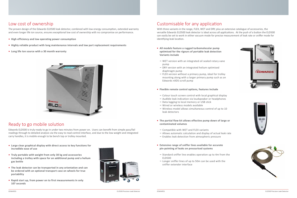





### Ready to go mobile solution

Edwards ELD500 is truly ready to go in under two minutes from power on. Users can benefit from simple pass/fail readings through to detailed analysis via the easy to read control interface, and due to the low weight and integrated carry handles, it is mobile enough to be bench top or trolley mounted.

- **• Large clear graphical display with direct access to key functions for incredible ease of use**
- **• Truly portable with weight from only 30 kg and accessories including a trolley with space for an additional pump and a helium gas bottle**
- **• The leak detector can be transported in any orientation and can be ordered with an optional transport case on wheels for true portability**
- **• Rapid start up, from power on to first measurements in only 107 seconds**



### Customisable for any application

With three variants in the range, FLEX, WET and DRY, plus an extensive catalogue of accessories, the versatile Edwards ELD500 leak detector is ideal across all applications. At the push of a button the ELD500 can easily be set to work in either vacuum mode for precise measurement of leak rate or sniffer mode for identifying leak location.

- **• All models feature a rugged turbomolecular pump optimised for the rigours of portable leak detection Variants include**
- **͵** WET version with an integrated oil sealed rotary vane pump
- **͵** DRY version with an integrated helium optimised diaphragm pump
- **͵** FLEX version without a primary pump, ideal for trolley mounting along with a larger primary pump such as an Edwards nXDS scroll pump
- **• Flexible remote control options, features include**
- **͵** Colour touch screen control with local graphical display
- **͵** Audible leak indication via loudspeaker or headphones
- **͵** Data logging to local memory or USB stick
- **͵** Wired or wireless models available
- **͵** Wireless model allows simultaneous control of up to 10 leak detectors
- **• The partial flow kit allows effective pump down of large or contaminated volumes**
	- **͵** Compatible with WET and FLEX variants
	- **͵** Allows automatic calculation and display of actual leak rate
	- **͵** Enables leak detection from atmospheric pressure
- **• Extensive range of sniffer lines available for accurate pin-pointing of leaks on pressurised systems**
- **͵** Standard sniffer line enables operation up to 4m from the ELD500
- **͵** Longer sniffer lines of up to 50m can be used with the sniffer extender interface
- **• High efficiency and low operating power consumption**
- **• Highly reliable product with long maintenance intervals and low part replacement requirements**
- **• Long life Ion source with a 30 month warranty**



### Low cost of ownership

The proven design of the Edwards ELD500 leak detector, combined with low energy consumption, extended warranty and even longer life ion source, ensures exceptional low cost of ownership with no compromise on performance.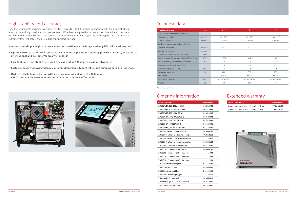### High stability and accuracy

Excellent repeatable accuracy is achieved by the Edwards ELD500 through calibration with the integrated test leak source and high quality mass spectrometer. Whether being used on a production line, where consistent measurement repeatability is critical, or in a laboratory environment, typically requiring the measurement of extremely low leak rates, the ELD500 is your perfect partner.

### Technical data

- **• Automated, simple, high accuracy calibration possible via the integrated long life calibrated test leak**
- **• Optional external calibrated test leaks available for applications requiring precision accuracy traceable to international and customer/company standards**
- **• Excellent long term stability ensured by class leading 180 degree mass spectrometer**
- **• Fastest recovery following helium contamination thanks to highest helium pumping speed in fine mode**
- **• High sensitivity leak detection with measurement of leak rates for Helium of <5x10-12mbar ls-1 in vacuum mode and <7x10-9mbar ls-1 in sniffer mode**



| <b>Product Description</b>                | <b>Order Number</b> |
|-------------------------------------------|---------------------|
| Extended warranty from 18 months to 3 yrs | EW3AA5100           |
| Extended warranty from 18 months to 5 yrs | EW5AA5100           |



| <b>ELD500 Leak Detector</b>                | <b>Units</b>       | <b>WET</b>                   | <b>DRY</b>                   | <b>FLEX</b>                    |
|--------------------------------------------|--------------------|------------------------------|------------------------------|--------------------------------|
| Lowest detectable helium leak rate         |                    |                              |                              |                                |
| Vacuum operation                           | mbar $ s^1 $       | $\leq$ 5 x 10 <sup>-12</sup> | $\leq$ 3 x 10 <sup>-11</sup> | $\leq$ 5 x 10 <sup>-12 *</sup> |
| Sniffer operation                          | mbar $Is^{-1}$     | $\leq$ 7x10 <sup>-9</sup>    | $\leq$ 7x10 <sup>-9</sup>    | $\leq$ 7x10 <sup>-9</sup>      |
| Maximum measurable helium leak rate        |                    |                              |                              |                                |
| <b>Vacuum operation</b>                    | mbar $Is^{-1}$     | > 0.1                        | > 0.1                        | > 0.1                          |
| <b>Measurement ranges</b>                  | decades            | 12                           | 12                           | 12                             |
| Maximum permissible inlet pressure         | mbar               | 15                           | 15                           | 15                             |
| Pumping speed during pumpdown, 50 Hz/60 Hz | $m^3h^{-1}$        | 2.5/3                        | 1.6/1.8                      | N/A                            |
| Helium pumping speed in the fine mode      | $\mathsf{Is}^{-1}$ | 3.1                          | 3.1                          | 3.1                            |
| Time constant for leak rate signal         | S                  | < 1                          | < 1                          | < 1                            |
| Time until ready for operation             | min                | $\leq$ 2                     | $\leq$ 2                     | $\leq$ 2                       |
| <b>Power consumption</b>                   | <b>VA</b>          | 420                          | 350                          | 200                            |
| <b>Inlet flange</b>                        |                    | <b>NW25</b>                  | <b>NW25</b>                  | <b>NW25</b>                    |
| <b>Dimensions (WxHxD)</b>                  | mm                 | 495x456x314                  | 495x456x314                  | 495x456x314                    |
| Weight                                     | kg                 | 40                           | 35.5                         | 30                             |
|                                            |                    |                              |                              |                                |

\* backing pump dependent

### Ordering information **Extended warranty**

| <b>Product Description</b>               | <b>Order Number</b> |
|------------------------------------------|---------------------|
| ELD500 WET, 200-240V,50/60Hz             | D13510903           |
| ELD500 WET, 100-120V, 50/60Hz            | D13510904           |
| ELD500 WET, 100-120V, 60Hz               | D13510906           |
| ELD500 DRY, 200-240V,50/60Hz             | D13520903           |
| ELD500 DRY, 100-120V, 50/60Hz            | D13520904           |
| ELD500 DRY, 100-120V, 60Hz               | D13520906           |
| ELD500 FLEX, 100-240V,50/60Hz            | D13530000           |
| ELD500 RC - Wired - Remote control       | D13550100           |
| ELD500 RC - Wireless - Remote control    | D13550110           |
| ELD500 RC - Wired - 8m extension cable   | 14022               |
| ELD500 RC - Wireless - Extra transmitter | D13550130           |
| ELD500 SL - Standard sniffer line 4m     | D13550300           |
| ELD500 SL - Extended SL Interface        | D13550200           |
| ELD500 SL - Extended sniffer line 5m     | 14008               |
| ELD500 SL - Extended sniffer line 20m    | 14009               |
| ELD500 SL - Extended sniffer line 50m    | 12183               |
| ELD500 Partial flow adaptor              | D13550400           |
| <b>ELD500 Transport Case</b>             | D13550500           |
| <b>ELD500 Cart without Ebox</b>          | D13550600           |
| ELD500 SG - Helium spray gun             | 16555               |
| CL-Internal calibrated leak              | D13550910           |
| CL-Cal Leak bspk. 0.5 - 1E-7. Screw Skt  | D13550930           |
| CL-calibrated leak HE 4 to 6             | D13550950           |